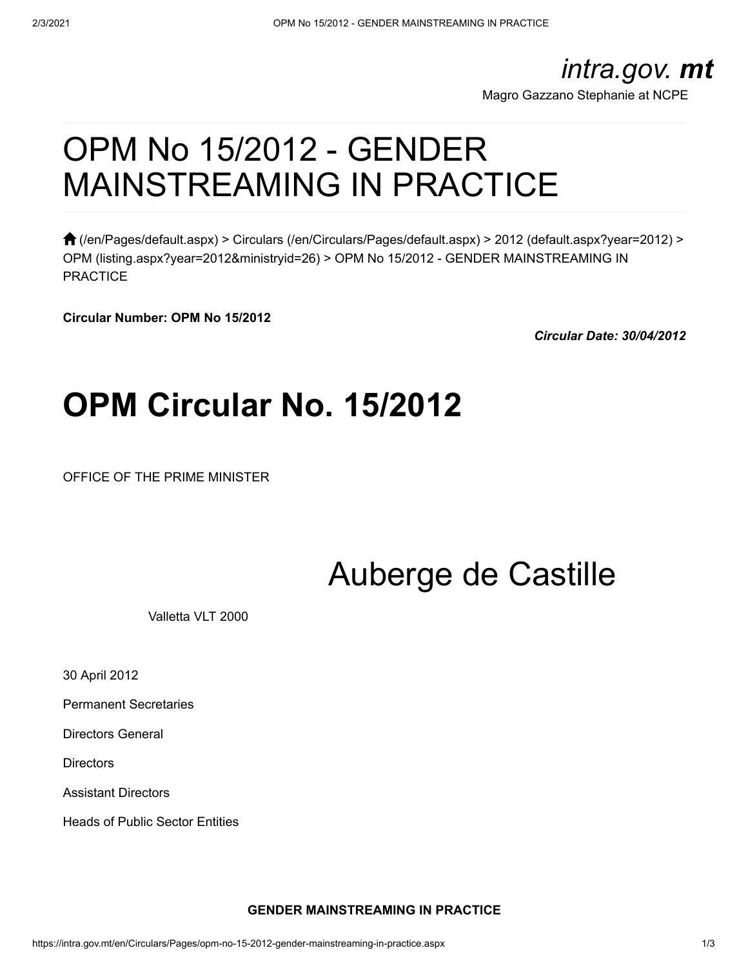### *intra.gov. mt*

[Magro Gazzano Stephanie at NCPE](javascript:;)

# OPM No 15/2012 - GENDER MAINSTREAMING IN PRACTICE

 $\bigcap$  [\(/en/Pages/default.aspx\)](https://intra.gov.mt/en/Pages/default.aspx) > [Circulars \(/en/Circulars/Pages/default.aspx\)](https://intra.gov.mt/en/Circulars/Pages/default.aspx) > [2012 \(default.aspx?year=2012\)](https://intra.gov.mt/en/Circulars/Pages/default.aspx?year=2012) > [OPM \(listing.aspx?year=2012&ministryid=26\)](https://intra.gov.mt/en/Circulars/Pages/listing.aspx?year=2012&ministryid=26) > OPM No 15/2012 - GENDER MAINSTREAMING IN **PRACTICE** 

**Circular Number: OPM No 15/2012**

*Circular Date: 30/04/2012*

# **OPM Circular No. 15/2012**

OFFICE OF THE PRIME MINISTER

# Auberge de Castille

Valletta VLT 2000

30 April 2012

Permanent Secretaries

Directors General

**Directors** 

Assistant Directors

Heads of Public Sector Entities

#### **GENDER MAINSTREAMING IN PRACTICE**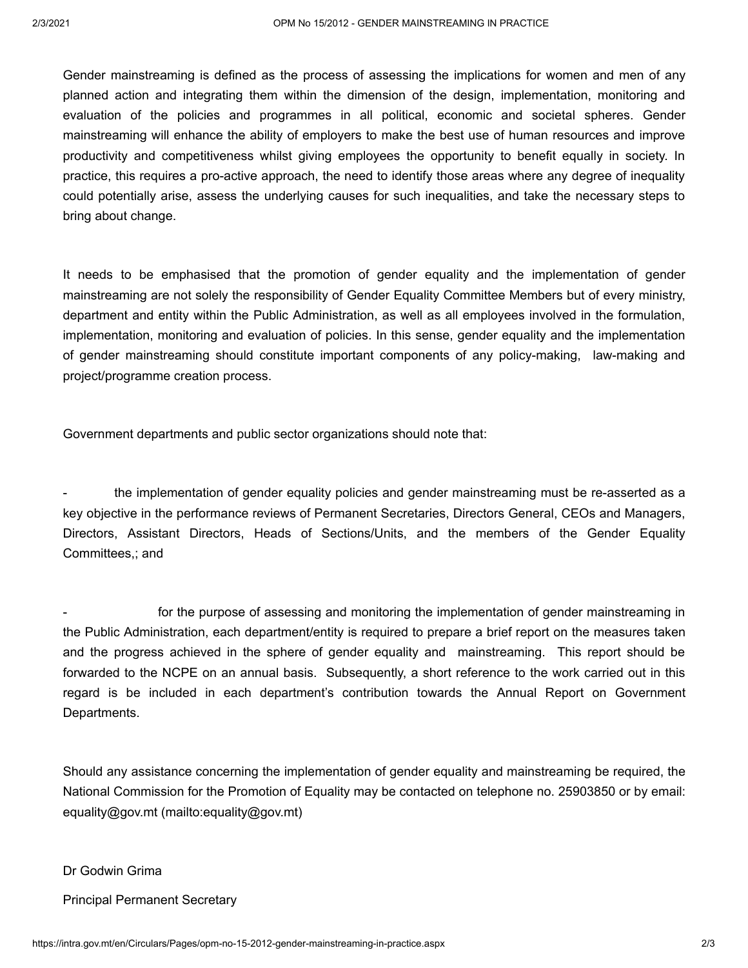Gender mainstreaming is defined as the process of assessing the implications for women and men of any planned action and integrating them within the dimension of the design, implementation, monitoring and evaluation of the policies and programmes in all political, economic and societal spheres. Gender mainstreaming will enhance the ability of employers to make the best use of human resources and improve productivity and competitiveness whilst giving employees the opportunity to benefit equally in society. In practice, this requires a pro-active approach, the need to identify those areas where any degree of inequality could potentially arise, assess the underlying causes for such inequalities, and take the necessary steps to bring about change.

It needs to be emphasised that the promotion of gender equality and the implementation of gender mainstreaming are not solely the responsibility of Gender Equality Committee Members but of every ministry, department and entity within the Public Administration, as well as all employees involved in the formulation, implementation, monitoring and evaluation of policies. In this sense, gender equality and the implementation of gender mainstreaming should constitute important components of any policy-making, law-making and project/programme creation process.

Government departments and public sector organizations should note that:

the implementation of gender equality policies and gender mainstreaming must be re-asserted as a key objective in the performance reviews of Permanent Secretaries, Directors General, CEOs and Managers, Directors, Assistant Directors, Heads of Sections/Units, and the members of the Gender Equality Committees,; and

for the purpose of assessing and monitoring the implementation of gender mainstreaming in the Public Administration, each department/entity is required to prepare a brief report on the measures taken and the progress achieved in the sphere of gender equality and mainstreaming. This report should be forwarded to the NCPE on an annual basis. Subsequently, a short reference to the work carried out in this regard is be included in each department's contribution towards the Annual Report on Government Departments.

Should any assistance concerning the implementation of gender equality and mainstreaming be required, the National Commission for the Promotion of Equality may be contacted on telephone no. 25903850 or by email: [equality@gov.mt \(mailto:equality@gov.mt\)](mailto:equality@gov.mt)

Dr Godwin Grima

Principal Permanent Secretary